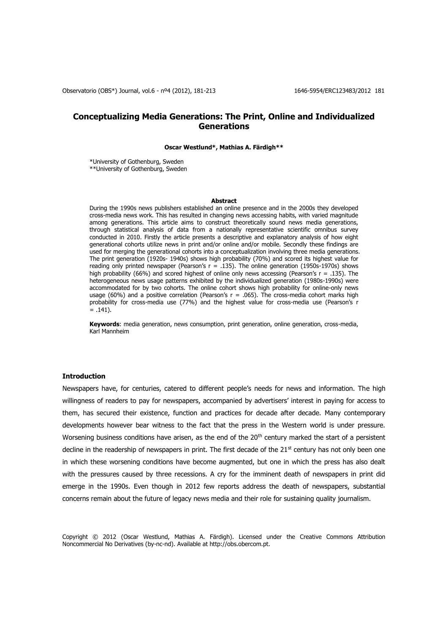# **Conceptualizing Media Generations: The Print, Online and Individualized Generations**

#### **Oscar Westlund\*, Mathias A. Färdigh\*\***

\*University of Gothenburg, Sweden \*\*University of Gothenburg, Sweden

#### **Abstract**

During the 1990s news publishers established an online presence and in the 2000s they developed cross-media news work. This has resulted in changing news accessing habits, with varied magnitude among generations. This article aims to construct theoretically sound news media generations, through statistical analysis of data from a nationally representative scientific omnibus survey conducted in 2010. Firstly the article presents a descriptive and explanatory analysis of how eight generational cohorts utilize news in print and/or online and/or mobile. Secondly these findings are used for merging the generational cohorts into a conceptualization involving three media generations. The print generation (1920s- 1940s) shows high probability (70%) and scored its highest value for reading only printed newspaper (Pearson's  $r = .135$ ). The online generation (1950s-1970s) shows high probability (66%) and scored highest of online only news accessing (Pearson's  $r = .135$ ). The heterogeneous news usage patterns exhibited by the individualized generation (1980s-1990s) were accommodated for by two cohorts. The online cohort shows high probability for online-only news usage (60%) and a positive correlation (Pearson's  $r = .065$ ). The cross-media cohort marks high probability for cross-media use (77%) and the highest value for cross-media use (Pearson's r  $= .141$ ).

**Keywords**: media generation, news consumption, print generation, online generation, cross-media, Karl Mannheim

# **Introduction**

Newspapers have, for centuries, catered to different people's needs for news and information. The high willingness of readers to pay for newspapers, accompanied by advertisers' interest in paying for access to them, has secured their existence, function and practices for decade after decade. Many contemporary developments however bear witness to the fact that the press in the Western world is under pressure. Worsening business conditions have arisen, as the end of the  $20<sup>th</sup>$  century marked the start of a persistent decline in the readership of newspapers in print. The first decade of the 21<sup>st</sup> century has not only been one in which these worsening conditions have become augmented, but one in which the press has also dealt with the pressures caused by three recessions. A cry for the imminent death of newspapers in print did emerge in the 1990s. Even though in 2012 few reports address the death of newspapers, substantial concerns remain about the future of legacy news media and their role for sustaining quality journalism.

Copyright © 2012 (Oscar Westlund, Mathias A. Färdigh). Licensed under the Creative Commons Attribution Noncommercial No Derivatives (by-nc-nd). Available at http://obs.obercom.pt.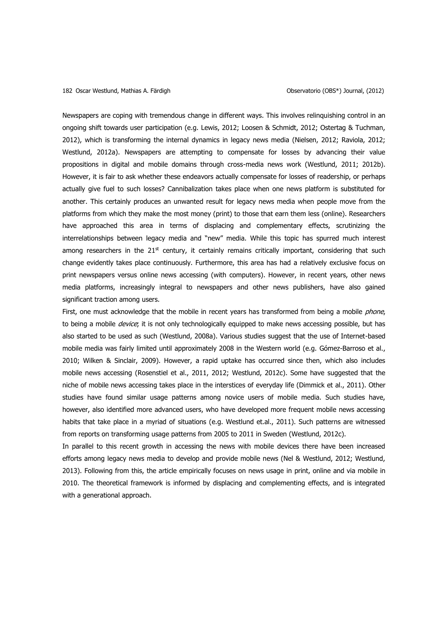Newspapers are coping with tremendous change in different ways. This involves relinquishing control in an ongoing shift towards user participation (e.g. Lewis, 2012; Loosen & Schmidt, 2012; Ostertag & Tuchman, 2012), which is transforming the internal dynamics in legacy news media (Nielsen, 2012; Raviola, 2012; Westlund, 2012a). Newspapers are attempting to compensate for losses by advancing their value propositions in digital and mobile domains through cross-media news work (Westlund, 2011; 2012b). However, it is fair to ask whether these endeavors actually compensate for losses of readership, or perhaps actually give fuel to such losses? Cannibalization takes place when one news platform is substituted for another. This certainly produces an unwanted result for legacy news media when people move from the platforms from which they make the most money (print) to those that earn them less (online). Researchers have approached this area in terms of displacing and complementary effects, scrutinizing the interrelationships between legacy media and "new" media. While this topic has spurred much interest among researchers in the  $21<sup>st</sup>$  century, it certainly remains critically important, considering that such change evidently takes place continuously. Furthermore, this area has had a relatively exclusive focus on print newspapers versus online news accessing (with computers). However, in recent years, other news media platforms, increasingly integral to newspapers and other news publishers, have also gained significant traction among users.

First, one must acknowledge that the mobile in recent years has transformed from being a mobile *phone*, to being a mobile *device*; it is not only technologically equipped to make news accessing possible, but has also started to be used as such (Westlund, 2008a). Various studies suggest that the use of Internet-based mobile media was fairly limited until approximately 2008 in the Western world (e.g. Gómez-Barroso et al., 2010; Wilken & Sinclair, 2009). However, a rapid uptake has occurred since then, which also includes mobile news accessing (Rosenstiel et al., 2011, 2012; Westlund, 2012c). Some have suggested that the niche of mobile news accessing takes place in the interstices of everyday life (Dimmick et al., 2011). Other studies have found similar usage patterns among novice users of mobile media. Such studies have, however, also identified more advanced users, who have developed more frequent mobile news accessing habits that take place in a myriad of situations (e.g. Westlund et.al., 2011). Such patterns are witnessed from reports on transforming usage patterns from 2005 to 2011 in Sweden (Westlund, 2012c).

In parallel to this recent growth in accessing the news with mobile devices there have been increased efforts among legacy news media to develop and provide mobile news (Nel & Westlund, 2012; Westlund, 2013). Following from this, the article empirically focuses on news usage in print, online and via mobile in 2010. The theoretical framework is informed by displacing and complementing effects, and is integrated with a generational approach.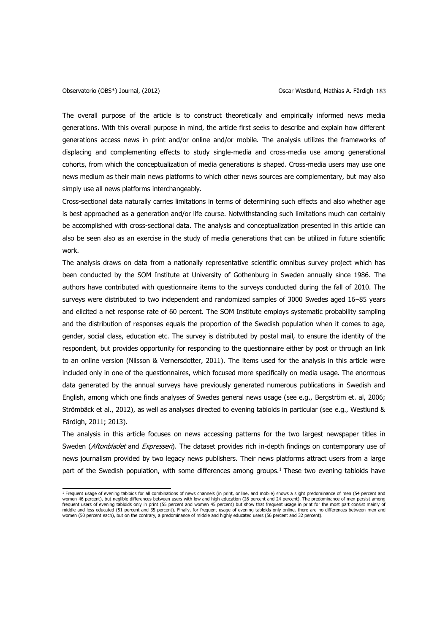The overall purpose of the article is to construct theoretically and empirically informed news media generations. With this overall purpose in mind, the article first seeks to describe and explain how different generations access news in print and/or online and/or mobile. The analysis utilizes the frameworks of displacing and complementing effects to study single-media and cross-media use among generational cohorts, from which the conceptualization of media generations is shaped. Cross-media users may use one news medium as their main news platforms to which other news sources are complementary, but may also simply use all news platforms interchangeably.

Cross-sectional data naturally carries limitations in terms of determining such effects and also whether age is best approached as a generation and/or life course. Notwithstanding such limitations much can certainly be accomplished with cross-sectional data. The analysis and conceptualization presented in this article can also be seen also as an exercise in the study of media generations that can be utilized in future scientific work.

The analysis draws on data from a nationally representative scientific omnibus survey project which has been conducted by the SOM Institute at University of Gothenburg in Sweden annually since 1986. The authors have contributed with questionnaire items to the surveys conducted during the fall of 2010. The surveys were distributed to two independent and randomized samples of 3000 Swedes aged 16–85 years and elicited a net response rate of 60 percent. The SOM Institute employs systematic probability sampling and the distribution of responses equals the proportion of the Swedish population when it comes to age, gender, social class, education etc. The survey is distributed by postal mail, to ensure the identity of the respondent, but provides opportunity for responding to the questionnaire either by post or through an link to an online version (Nilsson & Vernersdotter, 2011). The items used for the analysis in this article were included only in one of the questionnaires, which focused more specifically on media usage. The enormous data generated by the annual surveys have previously generated numerous publications in Swedish and English, among which one finds analyses of Swedes general news usage (see e.g., Bergström et. al, 2006; Strömbäck et al., 2012), as well as analyses directed to evening tabloids in particular (see e.g., Westlund & Färdigh, 2011; 2013).

The analysis in this article focuses on news accessing patterns for the two largest newspaper titles in Sweden (Aftonbladet and Expressen). The dataset provides rich in-depth findings on contemporary use of news journalism provided by two legacy news publishers. Their news platforms attract users from a large part of the Swedish population, with some differences among groups.<sup>1</sup> These two evening tabloids have

 <sup>1</sup> Frequent usage of evening tabloids for all combinations of news channels (in print, online, and mobile) shows a slight predominance of men (54 percent and women 46 percent), but neglible differences between users with low and high education (26 percent and 24 percent). The predominance of men persist among frequent users of evening tabloids only in print (55 percent and women 45 percent) but show that frequent usage in print for the most part consist mainly of middle and less educated (51 percent and 35 percent). Finally, for frequent usage of evening tabloids only online, there are no differences between men and<br>women (50 percent each), but on the contrary, a predominance of mi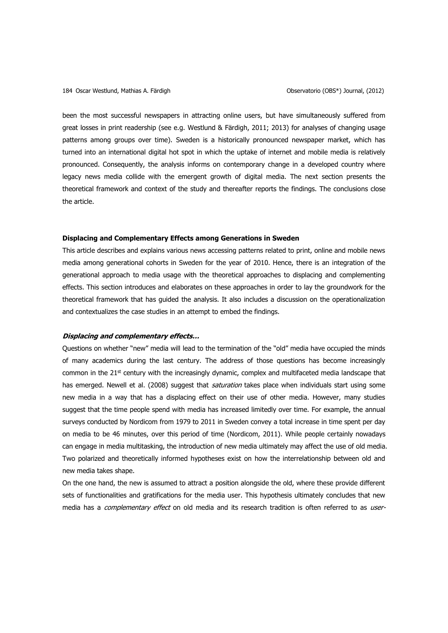been the most successful newspapers in attracting online users, but have simultaneously suffered from great losses in print readership (see e.g. Westlund & Färdigh, 2011; 2013) for analyses of changing usage patterns among groups over time). Sweden is a historically pronounced newspaper market, which has turned into an international digital hot spot in which the uptake of internet and mobile media is relatively pronounced. Consequently, the analysis informs on contemporary change in a developed country where legacy news media collide with the emergent growth of digital media. The next section presents the theoretical framework and context of the study and thereafter reports the findings. The conclusions close the article.

#### **Displacing and Complementary Effects among Generations in Sweden**

This article describes and explains various news accessing patterns related to print, online and mobile news media among generational cohorts in Sweden for the year of 2010. Hence, there is an integration of the generational approach to media usage with the theoretical approaches to displacing and complementing effects. This section introduces and elaborates on these approaches in order to lay the groundwork for the theoretical framework that has guided the analysis. It also includes a discussion on the operationalization and contextualizes the case studies in an attempt to embed the findings.

# **Displacing and complementary effects…**

Questions on whether "new" media will lead to the termination of the "old" media have occupied the minds of many academics during the last century. The address of those questions has become increasingly common in the 21<sup>st</sup> century with the increasingly dynamic, complex and multifaceted media landscape that has emerged. Newell et al. (2008) suggest that *saturation* takes place when individuals start using some new media in a way that has a displacing effect on their use of other media. However, many studies suggest that the time people spend with media has increased limitedly over time. For example, the annual surveys conducted by Nordicom from 1979 to 2011 in Sweden convey a total increase in time spent per day on media to be 46 minutes, over this period of time (Nordicom, 2011). While people certainly nowadays can engage in media multitasking, the introduction of new media ultimately may affect the use of old media. Two polarized and theoretically informed hypotheses exist on how the interrelationship between old and new media takes shape.

On the one hand, the new is assumed to attract a position alongside the old, where these provide different sets of functionalities and gratifications for the media user. This hypothesis ultimately concludes that new media has a *complementary effect* on old media and its research tradition is often referred to as user-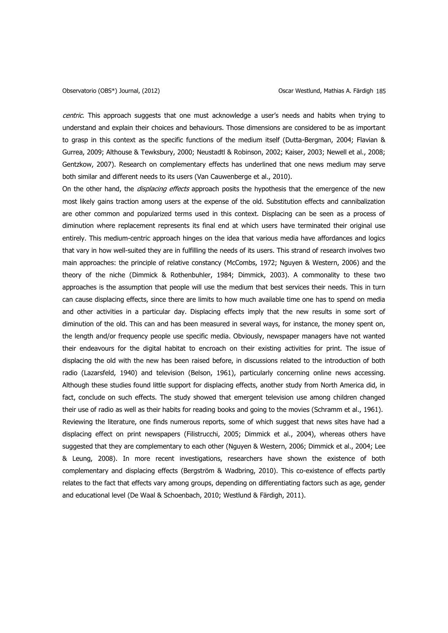centric. This approach suggests that one must acknowledge a user's needs and habits when trying to understand and explain their choices and behaviours. Those dimensions are considered to be as important to grasp in this context as the specific functions of the medium itself (Dutta-Bergman, 2004; Flavian & Gurrea, 2009; Althouse & Tewksbury, 2000; Neustadtl & Robinson, 2002; Kaiser, 2003; Newell et al., 2008; Gentzkow, 2007). Research on complementary effects has underlined that one news medium may serve both similar and different needs to its users (Van Cauwenberge et al., 2010).

On the other hand, the *displacing effects* approach posits the hypothesis that the emergence of the new most likely gains traction among users at the expense of the old. Substitution effects and cannibalization are other common and popularized terms used in this context. Displacing can be seen as a process of diminution where replacement represents its final end at which users have terminated their original use entirely. This medium-centric approach hinges on the idea that various media have affordances and logics that vary in how well-suited they are in fulfilling the needs of its users. This strand of research involves two main approaches: the principle of relative constancy (McCombs, 1972; Nguyen & Western, 2006) and the theory of the niche (Dimmick & Rothenbuhler, 1984; Dimmick, 2003). A commonality to these two approaches is the assumption that people will use the medium that best services their needs. This in turn can cause displacing effects, since there are limits to how much available time one has to spend on media and other activities in a particular day. Displacing effects imply that the new results in some sort of diminution of the old. This can and has been measured in several ways, for instance, the money spent on, the length and/or frequency people use specific media. Obviously, newspaper managers have not wanted their endeavours for the digital habitat to encroach on their existing activities for print. The issue of displacing the old with the new has been raised before, in discussions related to the introduction of both radio (Lazarsfeld, 1940) and television (Belson, 1961), particularly concerning online news accessing. Although these studies found little support for displacing effects, another study from North America did, in fact, conclude on such effects. The study showed that emergent television use among children changed their use of radio as well as their habits for reading books and going to the movies (Schramm et al., 1961). Reviewing the literature, one finds numerous reports, some of which suggest that news sites have had a displacing effect on print newspapers (Filistrucchi, 2005; Dimmick et al., 2004), whereas others have suggested that they are complementary to each other (Nguyen & Western, 2006; Dimmick et al., 2004; Lee & Leung, 2008). In more recent investigations, researchers have shown the existence of both complementary and displacing effects (Bergström & Wadbring, 2010). This co-existence of effects partly relates to the fact that effects vary among groups, depending on differentiating factors such as age, gender and educational level (De Waal & Schoenbach, 2010; Westlund & Färdigh, 2011).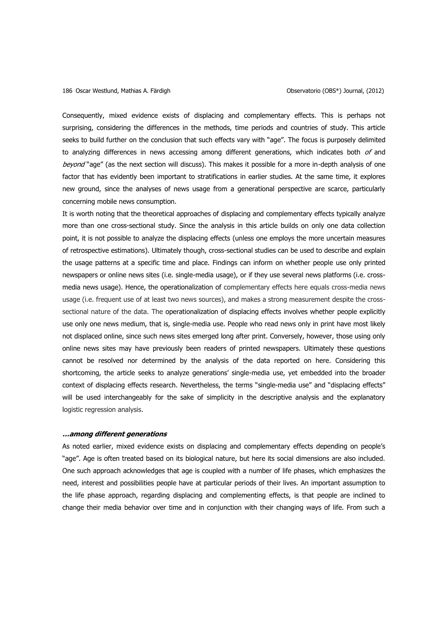Consequently, mixed evidence exists of displacing and complementary effects. This is perhaps not surprising, considering the differences in the methods, time periods and countries of study. This article seeks to build further on the conclusion that such effects vary with "age". The focus is purposely delimited to analyzing differences in news accessing among different generations, which indicates both of and beyond "age" (as the next section will discuss). This makes it possible for a more in-depth analysis of one factor that has evidently been important to stratifications in earlier studies. At the same time, it explores new ground, since the analyses of news usage from a generational perspective are scarce, particularly concerning mobile news consumption.

It is worth noting that the theoretical approaches of displacing and complementary effects typically analyze more than one cross-sectional study. Since the analysis in this article builds on only one data collection point, it is not possible to analyze the displacing effects (unless one employs the more uncertain measures of retrospective estimations). Ultimately though, cross-sectional studies can be used to describe and explain the usage patterns at a specific time and place. Findings can inform on whether people use only printed newspapers or online news sites (i.e. single-media usage), or if they use several news platforms (i.e. crossmedia news usage). Hence, the operationalization of complementary effects here equals cross-media news usage (i.e. frequent use of at least two news sources), and makes a strong measurement despite the crosssectional nature of the data. The operationalization of displacing effects involves whether people explicitly use only one news medium, that is, single-media use. People who read news only in print have most likely not displaced online, since such news sites emerged long after print. Conversely, however, those using only online news sites may have previously been readers of printed newspapers. Ultimately these questions cannot be resolved nor determined by the analysis of the data reported on here. Considering this shortcoming, the article seeks to analyze generations' single-media use, yet embedded into the broader context of displacing effects research. Nevertheless, the terms "single-media use" and "displacing effects" will be used interchangeably for the sake of simplicity in the descriptive analysis and the explanatory logistic regression analysis.

#### **…among different generations**

As noted earlier, mixed evidence exists on displacing and complementary effects depending on people's "age". Age is often treated based on its biological nature, but here its social dimensions are also included. One such approach acknowledges that age is coupled with a number of life phases, which emphasizes the need, interest and possibilities people have at particular periods of their lives. An important assumption to the life phase approach, regarding displacing and complementing effects, is that people are inclined to change their media behavior over time and in conjunction with their changing ways of life. From such a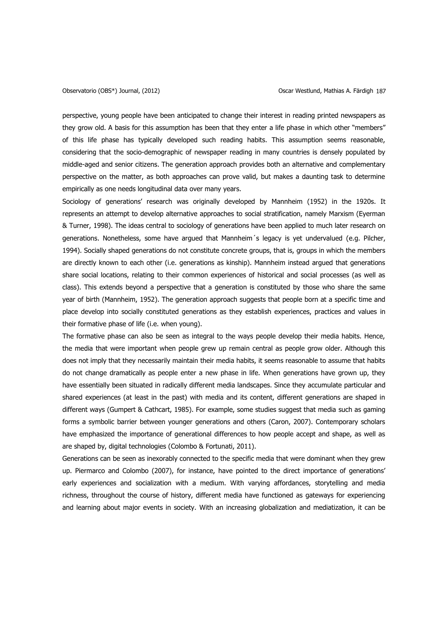perspective, young people have been anticipated to change their interest in reading printed newspapers as they grow old. A basis for this assumption has been that they enter a life phase in which other "members" of this life phase has typically developed such reading habits. This assumption seems reasonable, considering that the socio-demographic of newspaper reading in many countries is densely populated by middle-aged and senior citizens. The generation approach provides both an alternative and complementary perspective on the matter, as both approaches can prove valid, but makes a daunting task to determine empirically as one needs longitudinal data over many years.

Sociology of generations' research was originally developed by Mannheim (1952) in the 1920s. It represents an attempt to develop alternative approaches to social stratification, namely Marxism (Eyerman & Turner, 1998). The ideas central to sociology of generations have been applied to much later research on generations. Nonetheless, some have argued that Mannheim´s legacy is yet undervalued (e.g. Pilcher, 1994). Socially shaped generations do not constitute concrete groups, that is, groups in which the members are directly known to each other (i.e. generations as kinship). Mannheim instead argued that generations share social locations, relating to their common experiences of historical and social processes (as well as class). This extends beyond a perspective that a generation is constituted by those who share the same year of birth (Mannheim, 1952). The generation approach suggests that people born at a specific time and place develop into socially constituted generations as they establish experiences, practices and values in their formative phase of life (i.e. when young).

The formative phase can also be seen as integral to the ways people develop their media habits. Hence, the media that were important when people grew up remain central as people grow older. Although this does not imply that they necessarily maintain their media habits, it seems reasonable to assume that habits do not change dramatically as people enter a new phase in life. When generations have grown up, they have essentially been situated in radically different media landscapes. Since they accumulate particular and shared experiences (at least in the past) with media and its content, different generations are shaped in different ways (Gumpert & Cathcart, 1985). For example, some studies suggest that media such as gaming forms a symbolic barrier between younger generations and others (Caron, 2007). Contemporary scholars have emphasized the importance of generational differences to how people accept and shape, as well as are shaped by, digital technologies (Colombo & Fortunati, 2011).

Generations can be seen as inexorably connected to the specific media that were dominant when they grew up. Piermarco and Colombo (2007), for instance, have pointed to the direct importance of generations' early experiences and socialization with a medium. With varying affordances, storytelling and media richness, throughout the course of history, different media have functioned as gateways for experiencing and learning about major events in society. With an increasing globalization and mediatization, it can be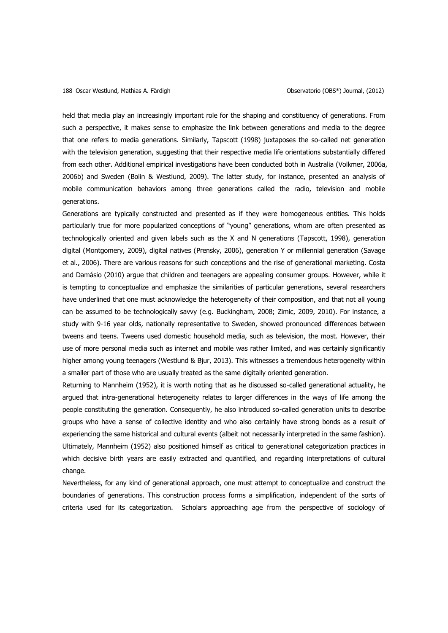held that media play an increasingly important role for the shaping and constituency of generations. From such a perspective, it makes sense to emphasize the link between generations and media to the degree that one refers to media generations. Similarly, Tapscott (1998) juxtaposes the so-called net generation with the television generation, suggesting that their respective media life orientations substantially differed from each other. Additional empirical investigations have been conducted both in Australia (Volkmer, 2006a, 2006b) and Sweden (Bolin & Westlund, 2009). The latter study, for instance, presented an analysis of mobile communication behaviors among three generations called the radio, television and mobile generations.

Generations are typically constructed and presented as if they were homogeneous entities. This holds particularly true for more popularized conceptions of "young" generations, whom are often presented as technologically oriented and given labels such as the X and N generations (Tapscott, 1998), generation digital (Montgomery, 2009), digital natives (Prensky, 2006), generation Y or millennial generation (Savage et al., 2006). There are various reasons for such conceptions and the rise of generational marketing. Costa and Damásio (2010) argue that children and teenagers are appealing consumer groups. However, while it is tempting to conceptualize and emphasize the similarities of particular generations, several researchers have underlined that one must acknowledge the heterogeneity of their composition, and that not all young can be assumed to be technologically savvy (e.g. Buckingham, 2008; Zimic, 2009, 2010). For instance, a study with 9-16 year olds, nationally representative to Sweden, showed pronounced differences between tweens and teens. Tweens used domestic household media, such as television, the most. However, their use of more personal media such as internet and mobile was rather limited, and was certainly significantly higher among young teenagers (Westlund & Bjur, 2013). This witnesses a tremendous heterogeneity within a smaller part of those who are usually treated as the same digitally oriented generation.

Returning to Mannheim (1952), it is worth noting that as he discussed so-called generational actuality, he argued that intra-generational heterogeneity relates to larger differences in the ways of life among the people constituting the generation. Consequently, he also introduced so-called generation units to describe groups who have a sense of collective identity and who also certainly have strong bonds as a result of experiencing the same historical and cultural events (albeit not necessarily interpreted in the same fashion). Ultimately, Mannheim (1952) also positioned himself as critical to generational categorization practices in which decisive birth years are easily extracted and quantified, and regarding interpretations of cultural change.

Nevertheless, for any kind of generational approach, one must attempt to conceptualize and construct the boundaries of generations. This construction process forms a simplification, independent of the sorts of criteria used for its categorization. Scholars approaching age from the perspective of sociology of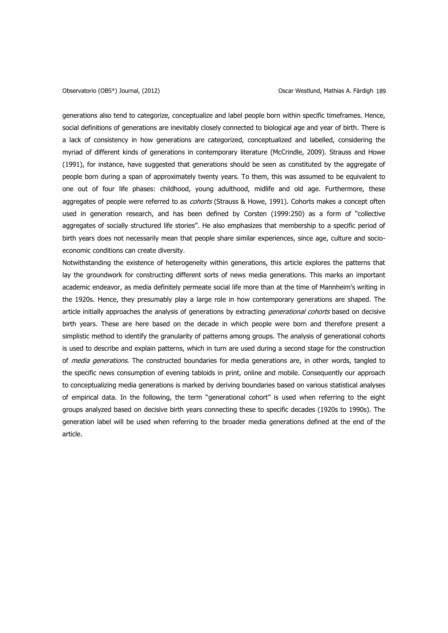generations also tend to categorize, conceptualize and label people born within specific timeframes. Hence, social definitions of generations are inevitably closely connected to biological age and year of birth. There is a lack of consistency in how generations are categorized, conceptualized and labelled, considering the myriad of different kinds of generations in contemporary literature (McCrindle, 2009). Strauss and Howe (1991), for instance, have suggested that generations should be seen as constituted by the aggregate of people born during a span of approximately twenty years. To them, this was assumed to be equivalent to one out of four life phases: childhood, young adulthood, midlife and old age. Furthermore, these aggregates of people were referred to as cohorts (Strauss & Howe, 1991). Cohorts makes a concept often used in generation research, and has been defined by Corsten (1999:250) as a form of "collective aggregates of socially structured life stories". He also emphasizes that membership to a specific period of birth years does not necessarily mean that people share similar experiences, since age, culture and socioeconomic conditions can create diversity.

Notwithstanding the existence of heterogeneity within generations, this article explores the patterns that lay the groundwork for constructing different sorts of news media generations. This marks an important academic endeavor, as media definitely permeate social life more than at the time of Mannheim's writing in the 1920s. Hence, they presumably play a large role in how contemporary generations are shaped. The article initially approaches the analysis of generations by extracting *generational cohorts* based on decisive birth years. These are here based on the decade in which people were born and therefore present a simplistic method to identify the granularity of patterns among groups. The analysis of generational cohorts is used to describe and explain patterns, which in turn are used during a second stage for the construction of *media generations*. The constructed boundaries for media generations are, in other words, tangled to the specific news consumption of evening tabloids in print, online and mobile. Consequently our approach to conceptualizing media generations is marked by deriving boundaries based on various statistical analyses of empirical data. In the following, the term "generational cohort" is used when referring to the eight groups analyzed based on decisive birth years connecting these to specific decades (1920s to 1990s). The generation label will be used when referring to the broader media generations defined at the end of the article.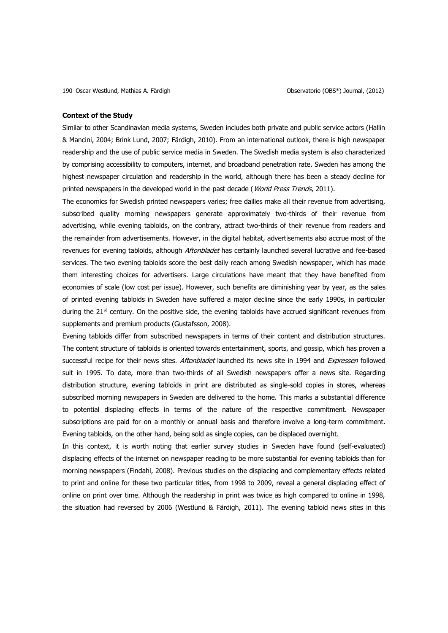#### **Context of the Study**

Similar to other Scandinavian media systems, Sweden includes both private and public service actors (Hallin & Mancini, 2004; Brink Lund, 2007; Färdigh, 2010). From an international outlook, there is high newspaper readership and the use of public service media in Sweden. The Swedish media system is also characterized by comprising accessibility to computers, internet, and broadband penetration rate. Sweden has among the highest newspaper circulation and readership in the world, although there has been a steady decline for printed newspapers in the developed world in the past decade (*World Press Trends*, 2011).

The economics for Swedish printed newspapers varies; free dailies make all their revenue from advertising, subscribed quality morning newspapers generate approximately two-thirds of their revenue from advertising, while evening tabloids, on the contrary, attract two-thirds of their revenue from readers and the remainder from advertisements. However, in the digital habitat, advertisements also accrue most of the revenues for evening tabloids, although Aftonbladet has certainly launched several lucrative and fee-based services. The two evening tabloids score the best daily reach among Swedish newspaper, which has made them interesting choices for advertisers. Large circulations have meant that they have benefited from economies of scale (low cost per issue). However, such benefits are diminishing year by year, as the sales of printed evening tabloids in Sweden have suffered a major decline since the early 1990s, in particular during the  $21<sup>st</sup>$  century. On the positive side, the evening tabloids have accrued significant revenues from supplements and premium products (Gustafsson, 2008).

Evening tabloids differ from subscribed newspapers in terms of their content and distribution structures. The content structure of tabloids is oriented towards entertainment, sports, and gossip, which has proven a successful recipe for their news sites. Aftonbladet launched its news site in 1994 and Expressen followed suit in 1995. To date, more than two-thirds of all Swedish newspapers offer a news site. Regarding distribution structure, evening tabloids in print are distributed as single-sold copies in stores, whereas subscribed morning newspapers in Sweden are delivered to the home. This marks a substantial difference to potential displacing effects in terms of the nature of the respective commitment. Newspaper subscriptions are paid for on a monthly or annual basis and therefore involve a long-term commitment. Evening tabloids, on the other hand, being sold as single copies, can be displaced overnight.

In this context, it is worth noting that earlier survey studies in Sweden have found (self-evaluated) displacing effects of the internet on newspaper reading to be more substantial for evening tabloids than for morning newspapers (Findahl, 2008). Previous studies on the displacing and complementary effects related to print and online for these two particular titles, from 1998 to 2009, reveal a general displacing effect of online on print over time. Although the readership in print was twice as high compared to online in 1998, the situation had reversed by 2006 (Westlund & Färdigh, 2011). The evening tabloid news sites in this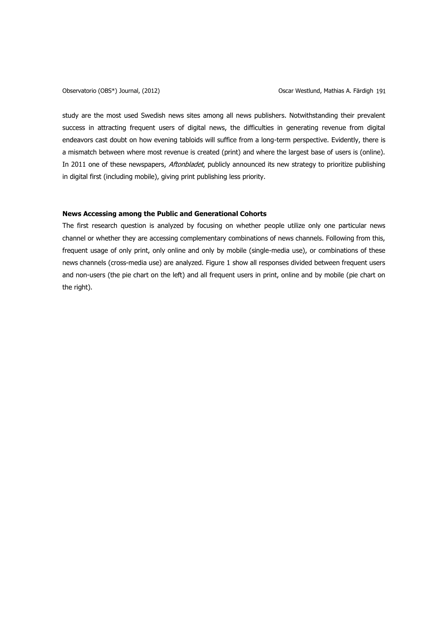study are the most used Swedish news sites among all news publishers. Notwithstanding their prevalent success in attracting frequent users of digital news, the difficulties in generating revenue from digital endeavors cast doubt on how evening tabloids will suffice from a long-term perspective. Evidently, there is a mismatch between where most revenue is created (print) and where the largest base of users is (online). In 2011 one of these newspapers, *Aftonbladet*, publicly announced its new strategy to prioritize publishing in digital first (including mobile), giving print publishing less priority.

# **News Accessing among the Public and Generational Cohorts**

The first research question is analyzed by focusing on whether people utilize only one particular news channel or whether they are accessing complementary combinations of news channels. Following from this, frequent usage of only print, only online and only by mobile (single-media use), or combinations of these news channels (cross-media use) are analyzed. Figure 1 show all responses divided between frequent users and non-users (the pie chart on the left) and all frequent users in print, online and by mobile (pie chart on the right).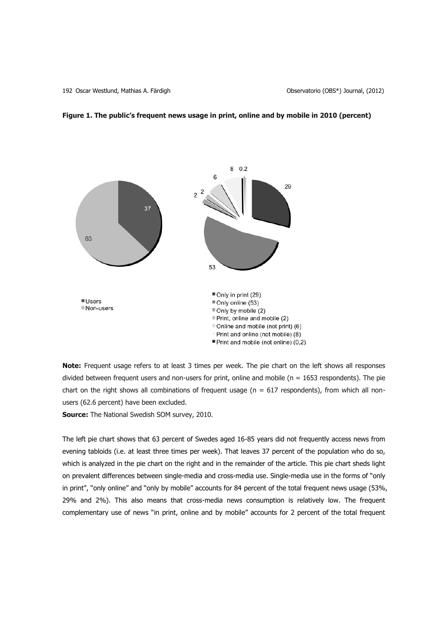192 Oscar Westlund, Mathias A. Färdigh Observatorio (OBS\*) Journal, (2012)



# **Figure 1. The public's frequent news usage in print, online and by mobile in 2010 (percent)**

**Note:** Frequent usage refers to at least 3 times per week. The pie chart on the left shows all responses divided between frequent users and non-users for print, online and mobile ( $n = 1653$  respondents). The pie chart on the right shows all combinations of frequent usage ( $n = 617$  respondents), from which all nonusers (62.6 percent) have been excluded.

**Source:** The National Swedish SOM survey, 2010.

The left pie chart shows that 63 percent of Swedes aged 16-85 years did not frequently access news from evening tabloids (i.e. at least three times per week). That leaves 37 percent of the population who do so, which is analyzed in the pie chart on the right and in the remainder of the article. This pie chart sheds light on prevalent differences between single-media and cross-media use. Single-media use in the forms of "only in print", "only online" and "only by mobile" accounts for 84 percent of the total frequent news usage (53%, 29% and 2%). This also means that cross-media news consumption is relatively low. The frequent complementary use of news "in print, online and by mobile" accounts for 2 percent of the total frequent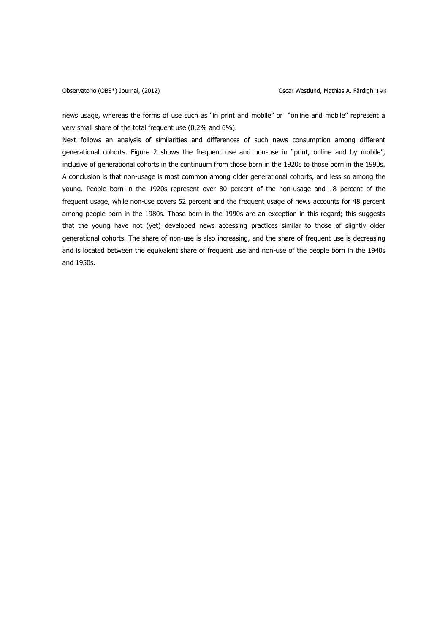news usage, whereas the forms of use such as "in print and mobile" or "online and mobile" represent a very small share of the total frequent use (0.2% and 6%).

Next follows an analysis of similarities and differences of such news consumption among different generational cohorts. Figure 2 shows the frequent use and non-use in "print, online and by mobile", inclusive of generational cohorts in the continuum from those born in the 1920s to those born in the 1990s. A conclusion is that non-usage is most common among older generational cohorts, and less so among the young. People born in the 1920s represent over 80 percent of the non-usage and 18 percent of the frequent usage, while non-use covers 52 percent and the frequent usage of news accounts for 48 percent among people born in the 1980s. Those born in the 1990s are an exception in this regard; this suggests that the young have not (yet) developed news accessing practices similar to those of slightly older generational cohorts. The share of non-use is also increasing, and the share of frequent use is decreasing and is located between the equivalent share of frequent use and non-use of the people born in the 1940s and 1950s.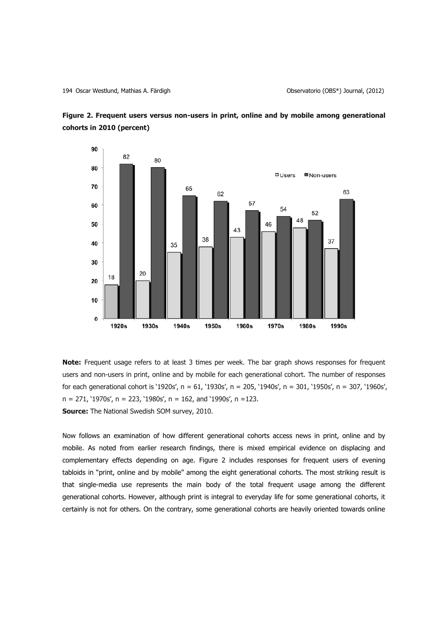



**Note:** Frequent usage refers to at least 3 times per week. The bar graph shows responses for frequent users and non-users in print, online and by mobile for each generational cohort. The number of responses for each generational cohort is '1920s', n = 61, '1930s', n = 205, '1940s', n = 301, '1950s', n = 307, '1960s',  $n = 271$ , '1970s',  $n = 223$ , '1980s',  $n = 162$ , and '1990s',  $n = 123$ . **Source:** The National Swedish SOM survey, 2010.

Now follows an examination of how different generational cohorts access news in print, online and by mobile. As noted from earlier research findings, there is mixed empirical evidence on displacing and complementary effects depending on age. Figure 2 includes responses for frequent users of evening tabloids in "print, online and by mobile" among the eight generational cohorts. The most striking result is that single-media use represents the main body of the total frequent usage among the different generational cohorts. However, although print is integral to everyday life for some generational cohorts, it certainly is not for others. On the contrary, some generational cohorts are heavily oriented towards online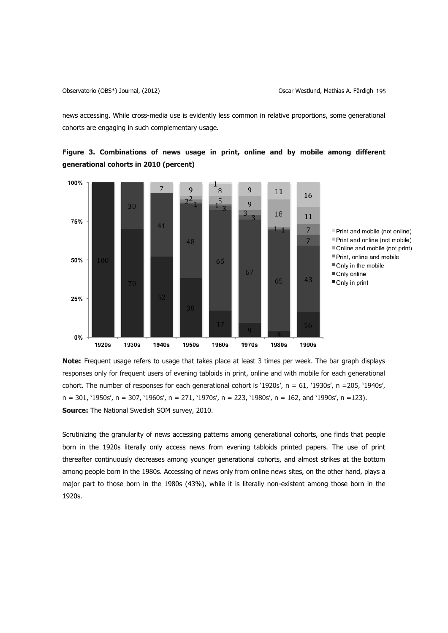news accessing. While cross-media use is evidently less common in relative proportions, some generational cohorts are engaging in such complementary usage.



**Figure 3. Combinations of news usage in print, online and by mobile among different generational cohorts in 2010 (percent)**

**Note:** Frequent usage refers to usage that takes place at least 3 times per week. The bar graph displays responses only for frequent users of evening tabloids in print, online and with mobile for each generational cohort. The number of responses for each generational cohort is '1920s',  $n = 61$ , '1930s',  $n = 205$ , '1940s',  $n = 301$ , '1950s',  $n = 307$ , '1960s',  $n = 271$ , '1970s',  $n = 223$ , '1980s',  $n = 162$ , and '1990s',  $n = 123$ ). **Source:** The National Swedish SOM survey, 2010.

Scrutinizing the granularity of news accessing patterns among generational cohorts, one finds that people born in the 1920s literally only access news from evening tabloids printed papers. The use of print thereafter continuously decreases among younger generational cohorts, and almost strikes at the bottom among people born in the 1980s. Accessing of news only from online news sites, on the other hand, plays a major part to those born in the 1980s (43%), while it is literally non-existent among those born in the 1920s.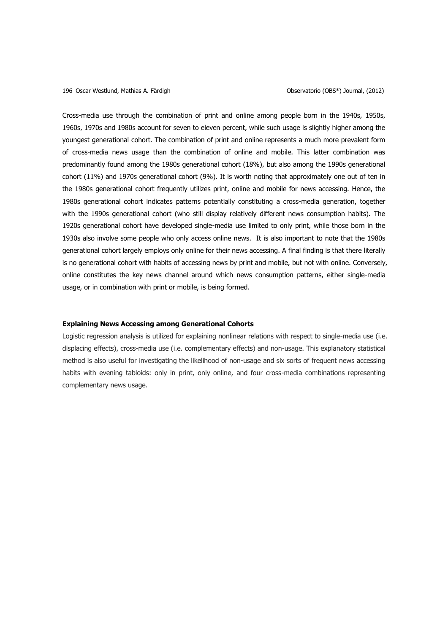196 Oscar Westlund, Mathias A. Färdigh Observatorio (OBS\*) Journal, (2012)

Cross-media use through the combination of print and online among people born in the 1940s, 1950s, 1960s, 1970s and 1980s account for seven to eleven percent, while such usage is slightly higher among the youngest generational cohort. The combination of print and online represents a much more prevalent form of cross-media news usage than the combination of online and mobile. This latter combination was predominantly found among the 1980s generational cohort (18%), but also among the 1990s generational cohort (11%) and 1970s generational cohort (9%). It is worth noting that approximately one out of ten in the 1980s generational cohort frequently utilizes print, online and mobile for news accessing. Hence, the 1980s generational cohort indicates patterns potentially constituting a cross-media generation, together with the 1990s generational cohort (who still display relatively different news consumption habits). The 1920s generational cohort have developed single-media use limited to only print, while those born in the 1930s also involve some people who only access online news. It is also important to note that the 1980s generational cohort largely employs only online for their news accessing. A final finding is that there literally is no generational cohort with habits of accessing news by print and mobile, but not with online. Conversely, online constitutes the key news channel around which news consumption patterns, either single-media usage, or in combination with print or mobile, is being formed.

# **Explaining News Accessing among Generational Cohorts**

Logistic regression analysis is utilized for explaining nonlinear relations with respect to single-media use (i.e. displacing effects), cross-media use (i.e. complementary effects) and non-usage. This explanatory statistical method is also useful for investigating the likelihood of non-usage and six sorts of frequent news accessing habits with evening tabloids: only in print, only online, and four cross-media combinations representing complementary news usage.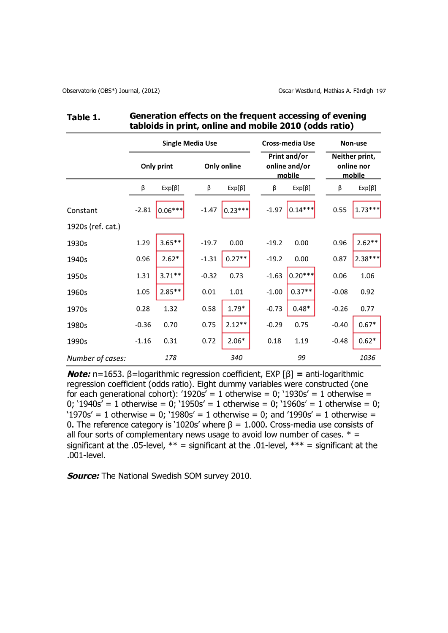#### Generation effects on the frequent accessing of evening Table 1. tabloids in print, online and mobile 2010 (odds ratio)

|                   | <b>Single Media Use</b> |              |         |              |         | <b>Cross-media Use</b>                  |         | Non-use                                |  |
|-------------------|-------------------------|--------------|---------|--------------|---------|-----------------------------------------|---------|----------------------------------------|--|
|                   | Only print              |              |         | Only online  |         | Print and/or<br>online and/or<br>mobile |         | Neither print,<br>online nor<br>mobile |  |
|                   | β                       | $Exp[\beta]$ | β       | $Exp[\beta]$ | β       | $Exp[\beta]$                            | β       | $Exp[\beta]$                           |  |
| Constant          | $-2.81$                 | $0.06***$    | $-1.47$ | $0.23***$    | $-1.97$ | $0.14***$                               | 0.55    | $1.73***$                              |  |
| 1920s (ref. cat.) |                         |              |         |              |         |                                         |         |                                        |  |
| 1930s             | 1.29                    | $3.65***$    | $-19.7$ | 0.00         | $-19.2$ | 0.00                                    | 0.96    | $2.62**$                               |  |
| 1940s             | 0.96                    | $2.62*$      | $-1.31$ | $0.27**$     | $-19.2$ | 0.00                                    | 0.87    | $2.38***$                              |  |
| 1950s             | 1.31                    | $3.71**$     | $-0.32$ | 0.73         | $-1.63$ | $0.20***$                               | 0.06    | 1.06                                   |  |
| 1960s             | 1.05                    | $2.85**$     | 0.01    | 1.01         | $-1.00$ | $0.37**$                                | $-0.08$ | 0.92                                   |  |
| 1970s             | 0.28                    | 1.32         | 0.58    | $1.79*$      | $-0.73$ | $0.48*$                                 | $-0.26$ | 0.77                                   |  |
| 1980s             | $-0.36$                 | 0.70         | 0.75    | $2.12**$     | $-0.29$ | 0.75                                    | $-0.40$ | $0.67*$                                |  |
| 1990s             | $-1.16$                 | 0.31         | 0.72    | $2.06*$      | 0.18    | 1.19                                    | $-0.48$ | $0.62*$                                |  |
| Number of cases:  |                         | 178          |         | 340          |         | 99                                      |         | 1036                                   |  |

**Note:** n=1653.  $\beta$ =logarithmic regression coefficient, EXP [ $\beta$ ] = anti-logarithmic regression coefficient (odds ratio). Eight dummy variables were constructed (one for each generational cohort): '1920s' = 1 otherwise = 0; '1930s' = 1 otherwise = 0;  $1940s' = 1$  otherwise = 0;  $1950s' = 1$  otherwise = 0;  $1960s' = 1$  otherwise = 0; '1970s' = 1 otherwise = 0; '1980s' = 1 otherwise = 0; and '1990s' = 1 otherwise = 0. The reference category is '1020s' where  $\beta = 1.000$ . Cross-media use consists of all four sorts of complementary news usage to avoid low number of cases.  $* =$ significant at the .05-level,  $**$  = significant at the .01-level,  $***$  = significant at the .001-level.

**Source:** The National Swedish SOM survey 2010.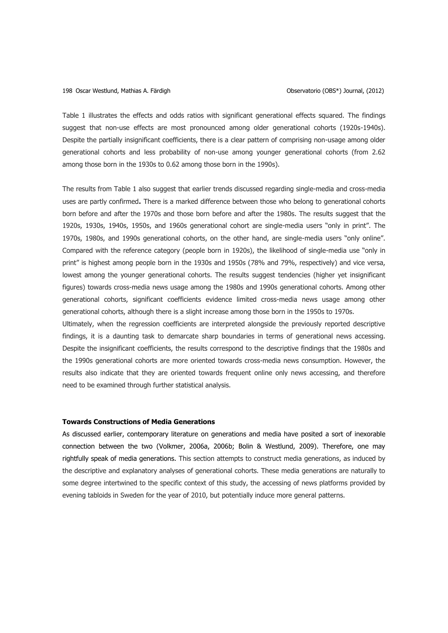#### 198 Oscar Westlund, Mathias A. Färdigh Observatorio (OBS\*) Journal, (2012)

Table 1 illustrates the effects and odds ratios with significant generational effects squared. The findings suggest that non-use effects are most pronounced among older generational cohorts (1920s-1940s). Despite the partially insignificant coefficients, there is a clear pattern of comprising non-usage among older generational cohorts and less probability of non-use among younger generational cohorts (from 2.62 among those born in the 1930s to 0.62 among those born in the 1990s).

The results from Table 1 also suggest that earlier trends discussed regarding single-media and cross-media uses are partly confirmed**.** There is a marked difference between those who belong to generational cohorts born before and after the 1970s and those born before and after the 1980s. The results suggest that the 1920s, 1930s, 1940s, 1950s, and 1960s generational cohort are single-media users "only in print". The 1970s, 1980s, and 1990s generational cohorts, on the other hand, are single-media users "only online". Compared with the reference category (people born in 1920s), the likelihood of single-media use "only in print" is highest among people born in the 1930s and 1950s (78% and 79%, respectively) and vice versa, lowest among the younger generational cohorts. The results suggest tendencies (higher yet insignificant figures) towards cross-media news usage among the 1980s and 1990s generational cohorts. Among other generational cohorts, significant coefficients evidence limited cross-media news usage among other generational cohorts, although there is a slight increase among those born in the 1950s to 1970s.

Ultimately, when the regression coefficients are interpreted alongside the previously reported descriptive findings, it is a daunting task to demarcate sharp boundaries in terms of generational news accessing. Despite the insignificant coefficients, the results correspond to the descriptive findings that the 1980s and the 1990s generational cohorts are more oriented towards cross-media news consumption. However, the results also indicate that they are oriented towards frequent online only news accessing, and therefore need to be examined through further statistical analysis.

### **Towards Constructions of Media Generations**

As discussed earlier, contemporary literature on generations and media have posited a sort of inexorable connection between the two (Volkmer, 2006a, 2006b; Bolin & Westlund, 2009). Therefore, one may rightfully speak of media generations. This section attempts to construct media generations, as induced by the descriptive and explanatory analyses of generational cohorts. These media generations are naturally to some degree intertwined to the specific context of this study, the accessing of news platforms provided by evening tabloids in Sweden for the year of 2010, but potentially induce more general patterns.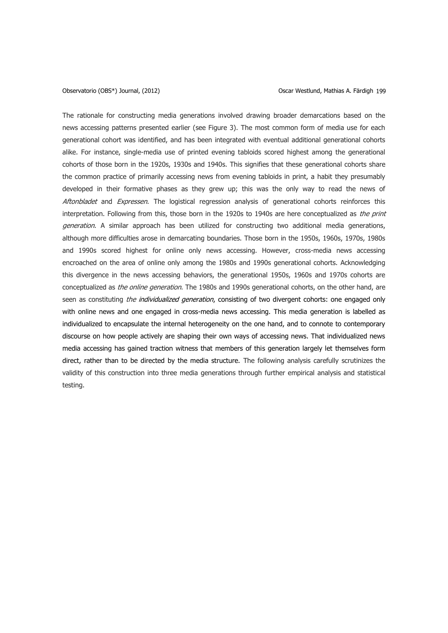#### Observatorio (OBS\*) Journal, (2012) Oscar Westlund, Mathias A. Färdigh 199

The rationale for constructing media generations involved drawing broader demarcations based on the news accessing patterns presented earlier (see Figure 3). The most common form of media use for each generational cohort was identified, and has been integrated with eventual additional generational cohorts alike. For instance, single-media use of printed evening tabloids scored highest among the generational cohorts of those born in the 1920s, 1930s and 1940s. This signifies that these generational cohorts share the common practice of primarily accessing news from evening tabloids in print, a habit they presumably developed in their formative phases as they grew up; this was the only way to read the news of Aftonbladet and Expressen. The logistical regression analysis of generational cohorts reinforces this interpretation. Following from this, those born in the 1920s to 1940s are here conceptualized as the print generation. A similar approach has been utilized for constructing two additional media generations, although more difficulties arose in demarcating boundaries. Those born in the 1950s, 1960s, 1970s, 1980s and 1990s scored highest for online only news accessing. However, cross-media news accessing encroached on the area of online only among the 1980s and 1990s generational cohorts. Acknowledging this divergence in the news accessing behaviors, the generational 1950s, 1960s and 1970s cohorts are conceptualized as the online generation. The 1980s and 1990s generational cohorts, on the other hand, are seen as constituting *the individualized generation*, consisting of two divergent cohorts: one engaged only with online news and one engaged in cross-media news accessing. This media generation is labelled as individualized to encapsulate the internal heterogeneity on the one hand, and to connote to contemporary discourse on how people actively are shaping their own ways of accessing news. That individualized news media accessing has gained traction witness that members of this generation largely let themselves form direct, rather than to be directed by the media structure. The following analysis carefully scrutinizes the validity of this construction into three media generations through further empirical analysis and statistical testing.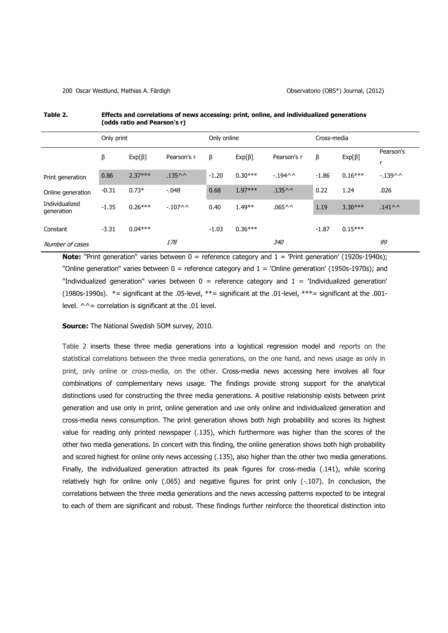#### 200 Oscar Westlund, Mathias A. Färdigh Observatorio (OBS\*) Journal, (2012)

|                              | (0005 Tatio and FearSon S T) |              |                       |             |              |                       |             |              |                       |  |
|------------------------------|------------------------------|--------------|-----------------------|-------------|--------------|-----------------------|-------------|--------------|-----------------------|--|
|                              | Only print                   |              |                       | Only online |              |                       | Cross-media |              |                       |  |
|                              | β                            | $Exp[\beta]$ | Pearson's r           | β           | $Exp[\beta]$ | Pearson's r           | β           | $Exp[\beta]$ | Pearson's<br>r        |  |
| Print generation             | 0.86                         | $2.37***$    | $.135^{\wedge\wedge}$ | $-1.20$     | $0.30***$    | $-194$ ^ ^            | $-1.86$     | $0.16***$    | $-139$ ^ ^            |  |
| Online generation            | $-0.31$                      | $0.73*$      | $-0.048$              | 0.68        | $1.97***$    | $.135^{\wedge\wedge}$ | 0.22        | 1.24         | .026                  |  |
| Individualized<br>generation | $-1.35$                      | $0.26***$    | $-107^{\circ}$        | 0.40        | $1.49**$     | $.065^{\wedge\wedge}$ | 1.19        | $3.30***$    | $.141^{\wedge\wedge}$ |  |
| Constant                     | $-3.31$                      | $0.04***$    |                       | $-1.03$     | $0.36***$    |                       | $-1.87$     | $0.15***$    |                       |  |
| Number of cases              |                              |              | 178                   |             |              | 340                   |             |              | 99                    |  |

## **Table 2. Effects and correlations of news accessing: print, online, and individualized generations (odds ratio and Pearson's r)**

**Note:** "Print generation" varies between 0 = reference category and 1 = 'Print generation' (1920s-1940s); "Online generation" varies between  $0 =$  reference category and  $1 =$  'Online generation' (1950s-1970s); and "Individualized generation" varies between  $0 =$  reference category and  $1 =$  'Individualized generation' (1980s-1990s). \*= significant at the .05-level, \*\*= significant at the .01-level, \*\*\*= significant at the .001 level.  $\wedge \wedge =$  correlation is significant at the .01 level.

### **Source:** The National Swedish SOM survey, 2010.

Table 2 inserts these three media generations into a logistical regression model and reports on the statistical correlations between the three media generations, on the one hand, and news usage as only in print, only online or cross-media, on the other. Cross-media news accessing here involves all four combinations of complementary news usage. The findings provide strong support for the analytical distinctions used for constructing the three media generations. A positive relationship exists between print generation and use only in print, online generation and use only online and individualized generation and cross-media news consumption. The print generation shows both high probability and scores its highest value for reading only printed newspaper (.135), which furthermore was higher than the scores of the other two media generations. In concert with this finding, the online generation shows both high probability and scored highest for online only news accessing (.135), also higher than the other two media generations. Finally, the individualized generation attracted its peak figures for cross-media (.141), while scoring relatively high for online only (.065) and negative figures for print only (-.107). In conclusion, the correlations between the three media generations and the news accessing patterns expected to be integral to each of them are significant and robust. These findings further reinforce the theoretical distinction into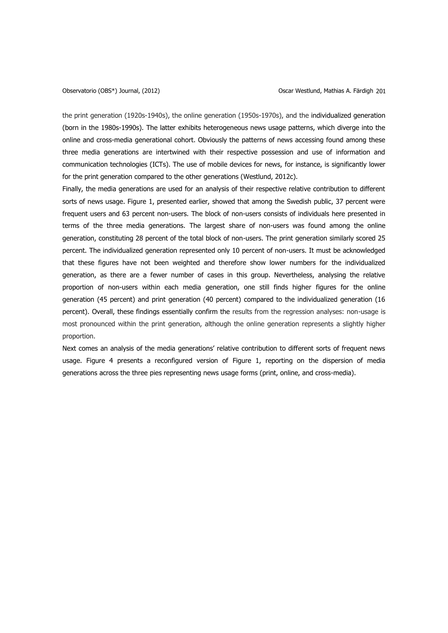the print generation (1920s-1940s), the online generation (1950s-1970s), and the individualized generation (born in the 1980s-1990s). The latter exhibits heterogeneous news usage patterns, which diverge into the online and cross-media generational cohort. Obviously the patterns of news accessing found among these three media generations are intertwined with their respective possession and use of information and communication technologies (ICTs). The use of mobile devices for news, for instance, is significantly lower for the print generation compared to the other generations (Westlund, 2012c).

Finally, the media generations are used for an analysis of their respective relative contribution to different sorts of news usage. Figure 1, presented earlier, showed that among the Swedish public, 37 percent were frequent users and 63 percent non-users. The block of non-users consists of individuals here presented in terms of the three media generations. The largest share of non-users was found among the online generation, constituting 28 percent of the total block of non-users. The print generation similarly scored 25 percent. The individualized generation represented only 10 percent of non-users. It must be acknowledged that these figures have not been weighted and therefore show lower numbers for the individualized generation, as there are a fewer number of cases in this group. Nevertheless, analysing the relative proportion of non-users within each media generation, one still finds higher figures for the online generation (45 percent) and print generation (40 percent) compared to the individualized generation (16 percent). Overall, these findings essentially confirm the results from the regression analyses: non-usage is most pronounced within the print generation, although the online generation represents a slightly higher proportion.

Next comes an analysis of the media generations' relative contribution to different sorts of frequent news usage. Figure 4 presents a reconfigured version of Figure 1, reporting on the dispersion of media generations across the three pies representing news usage forms (print, online, and cross-media).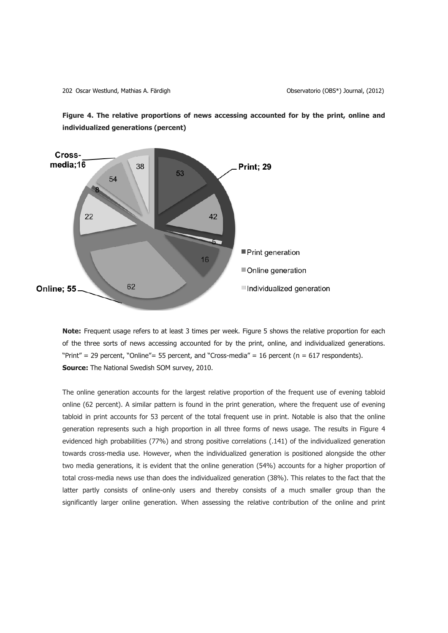202 Oscar Westlund, Mathias A. Färdigh Observatorio (OBS\*) Journal, (2012)





**Note:** Frequent usage refers to at least 3 times per week. Figure 5 shows the relative proportion for each of the three sorts of news accessing accounted for by the print, online, and individualized generations. "Print" = 29 percent, "Online" = 55 percent, and "Cross-media" = 16 percent ( $n = 617$  respondents). **Source:** The National Swedish SOM survey, 2010.

The online generation accounts for the largest relative proportion of the frequent use of evening tabloid online (62 percent). A similar pattern is found in the print generation, where the frequent use of evening tabloid in print accounts for 53 percent of the total frequent use in print. Notable is also that the online generation represents such a high proportion in all three forms of news usage. The results in Figure 4 evidenced high probabilities (77%) and strong positive correlations (.141) of the individualized generation towards cross-media use. However, when the individualized generation is positioned alongside the other two media generations, it is evident that the online generation (54%) accounts for a higher proportion of total cross-media news use than does the individualized generation (38%). This relates to the fact that the latter partly consists of online-only users and thereby consists of a much smaller group than the significantly larger online generation. When assessing the relative contribution of the online and print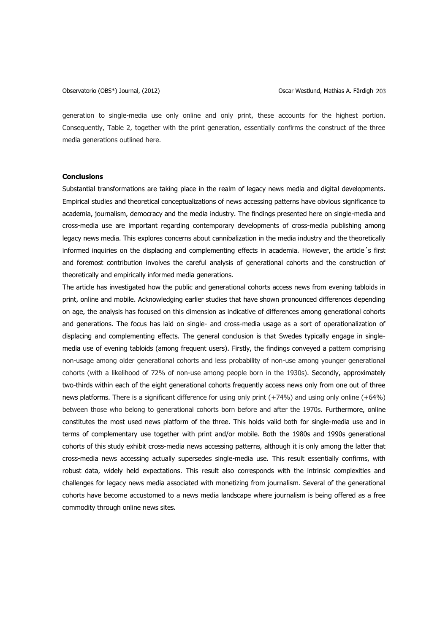generation to single-media use only online and only print, these accounts for the highest portion. Consequently, Table 2, together with the print generation, essentially confirms the construct of the three media generations outlined here.

# **Conclusions**

Substantial transformations are taking place in the realm of legacy news media and digital developments. Empirical studies and theoretical conceptualizations of news accessing patterns have obvious significance to academia, journalism, democracy and the media industry. The findings presented here on single-media and cross-media use are important regarding contemporary developments of cross-media publishing among legacy news media. This explores concerns about cannibalization in the media industry and the theoretically informed inquiries on the displacing and complementing effects in academia. However, the article´s first and foremost contribution involves the careful analysis of generational cohorts and the construction of theoretically and empirically informed media generations.

The article has investigated how the public and generational cohorts access news from evening tabloids in print, online and mobile. Acknowledging earlier studies that have shown pronounced differences depending on age, the analysis has focused on this dimension as indicative of differences among generational cohorts and generations. The focus has laid on single- and cross-media usage as a sort of operationalization of displacing and complementing effects. The general conclusion is that Swedes typically engage in singlemedia use of evening tabloids (among frequent users). Firstly, the findings conveyed a pattern comprising non-usage among older generational cohorts and less probability of non-use among younger generational cohorts (with a likelihood of 72% of non-use among people born in the 1930s). Secondly, approximately two-thirds within each of the eight generational cohorts frequently access news only from one out of three news platforms. There is a significant difference for using only print (+74%) and using only online (+64%) between those who belong to generational cohorts born before and after the 1970s. Furthermore, online constitutes the most used news platform of the three. This holds valid both for single-media use and in terms of complementary use together with print and/or mobile. Both the 1980s and 1990s generational cohorts of this study exhibit cross-media news accessing patterns, although it is only among the latter that cross-media news accessing actually supersedes single-media use. This result essentially confirms, with robust data, widely held expectations. This result also corresponds with the intrinsic complexities and challenges for legacy news media associated with monetizing from journalism. Several of the generational cohorts have become accustomed to a news media landscape where journalism is being offered as a free commodity through online news sites.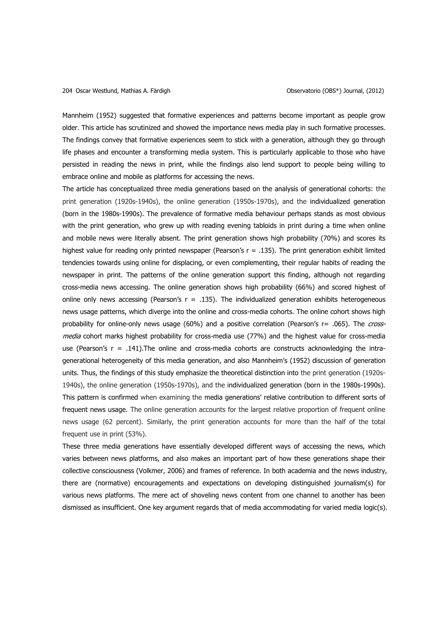Mannheim (1952) suggested that formative experiences and patterns become important as people grow older. This article has scrutinized and showed the importance news media play in such formative processes. The findings convey that formative experiences seem to stick with a generation, although they go through life phases and encounter a transforming media system. This is particularly applicable to those who have persisted in reading the news in print, while the findings also lend support to people being willing to embrace online and mobile as platforms for accessing the news.

The article has conceptualized three media generations based on the analysis of generational cohorts: the print generation (1920s-1940s), the online generation (1950s-1970s), and the individualized generation (born in the 1980s-1990s). The prevalence of formative media behaviour perhaps stands as most obvious with the print generation, who grew up with reading evening tabloids in print during a time when online and mobile news were literally absent. The print generation shows high probability (70%) and scores its highest value for reading only printed newspaper (Pearson's  $r = .135$ ). The print generation exhibit limited tendencies towards using online for displacing, or even complementing, their regular habits of reading the newspaper in print. The patterns of the online generation support this finding, although not regarding cross-media news accessing. The online generation shows high probability (66%) and scored highest of online only news accessing (Pearson's  $r = .135$ ). The individualized generation exhibits heterogeneous news usage patterns, which diverge into the online and cross-media cohorts. The online cohort shows high probability for online-only news usage (60%) and a positive correlation (Pearson's r= .065). The crossmedia cohort marks highest probability for cross-media use (77%) and the highest value for cross-media use (Pearson's  $r = .141$ ). The online and cross-media cohorts are constructs acknowledging the intragenerational heterogeneity of this media generation, and also Mannheim's (1952) discussion of generation units. Thus, the findings of this study emphasize the theoretical distinction into the print generation (1920s-1940s), the online generation (1950s-1970s), and the individualized generation (born in the 1980s-1990s). This pattern is confirmed when examining the media generations' relative contribution to different sorts of frequent news usage. The online generation accounts for the largest relative proportion of frequent online news usage (62 percent). Similarly, the print generation accounts for more than the half of the total frequent use in print (53%).

These three media generations have essentially developed different ways of accessing the news, which varies between news platforms, and also makes an important part of how these generations shape their collective consciousness (Volkmer, 2006) and frames of reference. In both academia and the news industry, there are (normative) encouragements and expectations on developing distinguished journalism(s) for various news platforms. The mere act of shoveling news content from one channel to another has been dismissed as insufficient. One key argument regards that of media accommodating for varied media logic(s).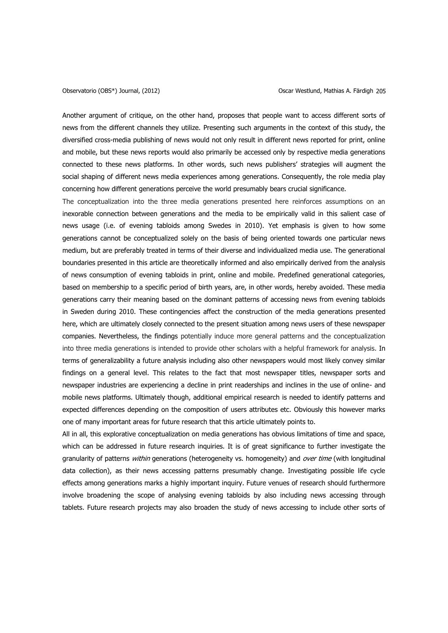Another argument of critique, on the other hand, proposes that people want to access different sorts of news from the different channels they utilize. Presenting such arguments in the context of this study, the diversified cross-media publishing of news would not only result in different news reported for print, online and mobile, but these news reports would also primarily be accessed only by respective media generations connected to these news platforms. In other words, such news publishers' strategies will augment the social shaping of different news media experiences among generations. Consequently, the role media play concerning how different generations perceive the world presumably bears crucial significance.

The conceptualization into the three media generations presented here reinforces assumptions on an inexorable connection between generations and the media to be empirically valid in this salient case of news usage (i.e. of evening tabloids among Swedes in 2010). Yet emphasis is given to how some generations cannot be conceptualized solely on the basis of being oriented towards one particular news medium, but are preferably treated in terms of their diverse and individualized media use. The generational boundaries presented in this article are theoretically informed and also empirically derived from the analysis of news consumption of evening tabloids in print, online and mobile. Predefined generational categories, based on membership to a specific period of birth years, are, in other words, hereby avoided. These media generations carry their meaning based on the dominant patterns of accessing news from evening tabloids in Sweden during 2010. These contingencies affect the construction of the media generations presented here, which are ultimately closely connected to the present situation among news users of these newspaper companies. Nevertheless, the findings potentially induce more general patterns and the conceptualization into three media generations is intended to provide other scholars with a helpful framework for analysis. In terms of generalizability a future analysis including also other newspapers would most likely convey similar findings on a general level. This relates to the fact that most newspaper titles, newspaper sorts and newspaper industries are experiencing a decline in print readerships and inclines in the use of online- and mobile news platforms. Ultimately though, additional empirical research is needed to identify patterns and expected differences depending on the composition of users attributes etc. Obviously this however marks one of many important areas for future research that this article ultimately points to.

All in all, this explorative conceptualization on media generations has obvious limitations of time and space, which can be addressed in future research inquiries. It is of great significance to further investigate the granularity of patterns within generations (heterogeneity vs. homogeneity) and over time (with longitudinal data collection), as their news accessing patterns presumably change. Investigating possible life cycle effects among generations marks a highly important inquiry. Future venues of research should furthermore involve broadening the scope of analysing evening tabloids by also including news accessing through tablets. Future research projects may also broaden the study of news accessing to include other sorts of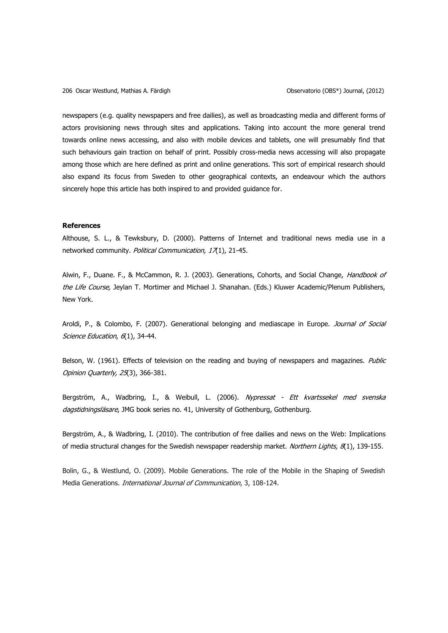newspapers (e.g. quality newspapers and free dailies), as well as broadcasting media and different forms of actors provisioning news through sites and applications. Taking into account the more general trend towards online news accessing, and also with mobile devices and tablets, one will presumably find that such behaviours gain traction on behalf of print. Possibly cross-media news accessing will also propagate among those which are here defined as print and online generations. This sort of empirical research should also expand its focus from Sweden to other geographical contexts, an endeavour which the authors sincerely hope this article has both inspired to and provided guidance for.

# **References**

Althouse, S. L., & Tewksbury, D. (2000). Patterns of Internet and traditional news media use in a networked community. Political Communication, 17(1), 21-45.

Alwin, F., Duane. F., & McCammon, R. J. (2003). Generations, Cohorts, and Social Change, Handbook of the Life Course, Jeylan T. Mortimer and Michael J. Shanahan. (Eds.) Kluwer Academic/Plenum Publishers, New York.

Aroldi, P., & Colombo, F. (2007). Generational belonging and mediascape in Europe. Journal of Social Science Education, 6(1), 34-44.

Belson, W. (1961). Effects of television on the reading and buying of newspapers and magazines. Public Opinion Quarterly, 25(3), 366-381.

Bergström, A., Wadbring, I., & Weibull, L. (2006). Nypressat - Ett kvartssekel med svenska dagstidningsläsare, JMG book series no. 41, University of Gothenburg, Gothenburg.

Bergström, A., & Wadbring, I. (2010). The contribution of free dailies and news on the Web: Implications of media structural changes for the Swedish newspaper readership market. Northern Lights, 8(1), 139-155.

Bolin, G., & Westlund, O. (2009). Mobile Generations. The role of the Mobile in the Shaping of Swedish Media Generations. International Journal of Communication, 3, 108-124.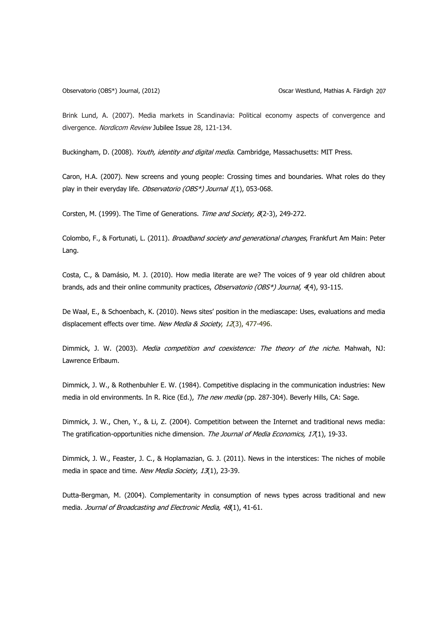Brink Lund, A. (2007). Media markets in Scandinavia: Political economy aspects of convergence and divergence. Nordicom Review Jubilee Issue 28, 121-134.

Buckingham, D. (2008). Youth, identity and digital media. Cambridge, Massachusetts: MIT Press.

Caron, H.A. (2007). New screens and young people: Crossing times and boundaries. What roles do they play in their everyday life. Observatorio (OBS\*) Journal 1(1), 053-068.

Corsten, M. (1999). The Time of Generations. Time and Society, 8(2-3), 249-272.

Colombo, F., & Fortunati, L. (2011). *Broadband society and generational changes*, Frankfurt Am Main: Peter Lang.

Costa, C., & Damásio, M. J. (2010). How media literate are we? The voices of 9 year old children about brands, ads and their online community practices, Observatorio (OBS\*) Journal, 4(4), 93-115.

De Waal, E., & Schoenbach, K. (2010). News sites' position in the mediascape: Uses, evaluations and media displacement effects over time. New Media & Society, 12(3), 477-496.

Dimmick, J. W. (2003). Media competition and coexistence: The theory of the niche. Mahwah, NJ: Lawrence Erlbaum.

Dimmick, J. W., & Rothenbuhler E. W. (1984). Competitive displacing in the communication industries: New media in old environments. In R. Rice (Ed.), The new media (pp. 287-304). Beverly Hills, CA: Sage.

Dimmick, J. W., Chen, Y., & Li, Z. (2004). Competition between the Internet and traditional news media: The gratification-opportunities niche dimension. The Journal of Media Economics, 17(1), 19-33.

Dimmick, J. W., Feaster, J. C., & Hoplamazian, G. J. (2011). News in the interstices: The niches of mobile media in space and time. New Media Society, 13(1), 23-39.

Dutta-Bergman, M. (2004). Complementarity in consumption of news types across traditional and new media. Journal of Broadcasting and Electronic Media, 48(1), 41-61.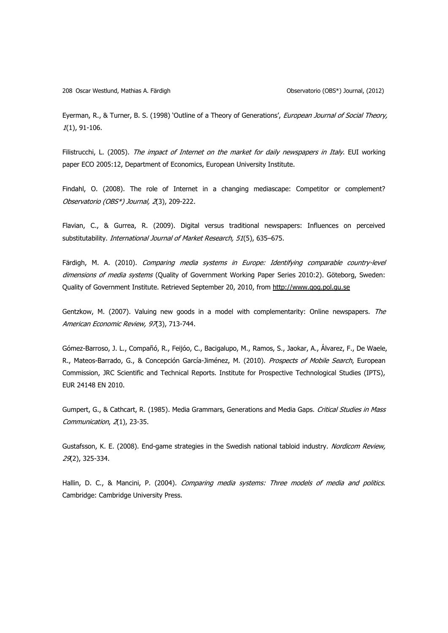208 Oscar Westlund, Mathias A. Färdigh Observatorio (OBS\*) Journal, (2012)

Eyerman, R., & Turner, B. S. (1998) 'Outline of a Theory of Generations', European Journal of Social Theory, 1(1), 91-106.

Filistrucchi, L. (2005). The impact of Internet on the market for daily newspapers in Italy. EUI working paper ECO 2005:12, Department of Economics, European University Institute.

Findahl, O. (2008). The role of Internet in a changing mediascape: Competitor or complement? Observatorio (OBS\*) Journal, 2(3), 209-222.

Flavian, C., & Gurrea, R. (2009). Digital versus traditional newspapers: Influences on perceived substitutability. International Journal of Market Research, 51(5), 635-675.

Färdigh, M. A. (2010). Comparing media systems in Europe: Identifying comparable country-level dimensions of media systems (Quality of Government Working Paper Series 2010:2). Göteborg, Sweden: Quality of Government Institute. Retrieved September 20, 2010, from [http://www.qog.pol.gu.se](http://www.qog.pol.gu.se/)

Gentzkow, M. (2007). Valuing new goods in a model with complementarity: Online newspapers. The American Economic Review, 97(3), 713-744.

Gómez-Barroso, J. L., Compañó, R., Feijóo, C., Bacigalupo, M., Ramos, S., Jaokar, A., Álvarez, F., De Waele, R., Mateos-Barrado, G., & Concepción García-Jiménez, M. (2010). Prospects of Mobile Search, European Commission, JRC Scientific and Technical Reports. Institute for Prospective Technological Studies (IPTS), EUR 24148 EN 2010.

Gumpert, G., & Cathcart, R. (1985). Media Grammars, Generations and Media Gaps. Critical Studies in Mass Communication, 2(1), 23-35.

Gustafsson, K. E. (2008). End-game strategies in the Swedish national tabloid industry. Nordicom Review, 29(2), 325-334.

Hallin, D. C., & Mancini, P. (2004). Comparing media systems: Three models of media and politics. Cambridge: Cambridge University Press.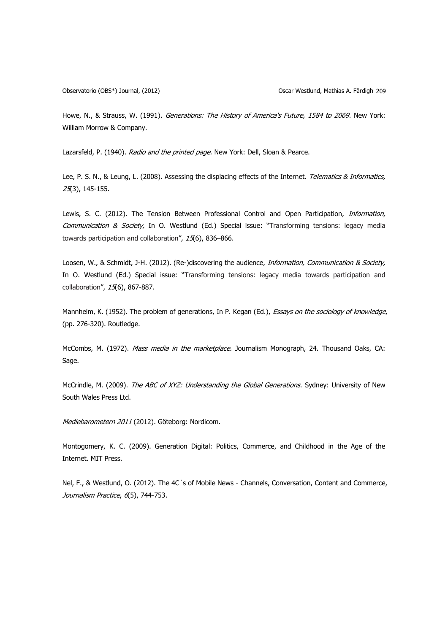Howe, N., & Strauss, W. (1991). Generations: The History of America's Future, 1584 to 2069. New York: William Morrow & Company.

Lazarsfeld, P. (1940). Radio and the printed page. New York: Dell, Sloan & Pearce.

Lee, P. S. N., & Leung, L. (2008). Assessing the displacing effects of the Internet. Telematics & Informatics, 25(3), 145-155.

Lewis, S. C. (2012). The Tension Between Professional Control and Open Participation, *Information*, Communication & Society, In O. Westlund (Ed.) Special issue: "Transforming tensions: legacy media towards participation and collaboration", 15(6), 836-866.

Loosen, W., & Schmidt, J-H. (2012). (Re-)discovering the audience, *Information, Communication & Society*, In O. Westlund (Ed.) Special issue: "Transforming tensions: legacy media towards participation and collaboration", 15(6), 867-887.

Mannheim, K. (1952). The problem of generations, In P. Kegan (Ed.), Essays on the sociology of knowledge, (pp. 276-320). Routledge.

McCombs, M. (1972). Mass media in the marketplace. Journalism Monograph, 24. Thousand Oaks, CA: Sage.

McCrindle, M. (2009). The ABC of XYZ: Understanding the Global Generations. Sydney: University of New South Wales Press Ltd.

Mediebarometern 2011 (2012). Göteborg: Nordicom.

Montogomery, K. C. (2009). Generation Digital: Politics, Commerce, and Childhood in the Age of the Internet. MIT Press.

Nel, F., & Westlund, O. (2012). The 4C´s of Mobile News - Channels, Conversation, Content and Commerce, Journalism Practice, 6(5), 744-753.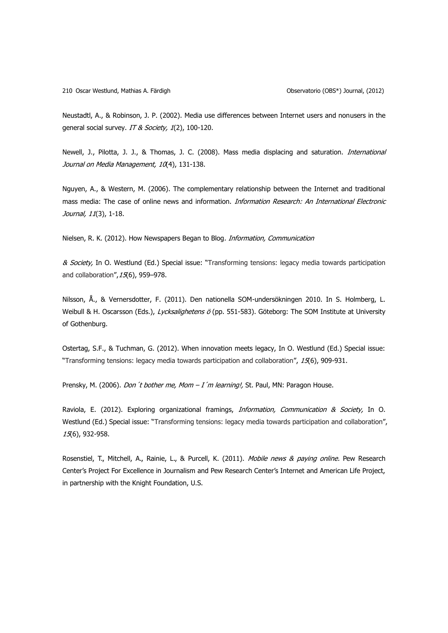Neustadtl, A., & Robinson, J. P. (2002). Media use differences between Internet users and nonusers in the general social survey. IT & Society, 1(2), 100-120.

Newell, J., Pilotta, J. J., & Thomas, J. C. (2008). Mass media displacing and saturation. *International* Journal on Media Management, 10(4), 131-138.

Nguyen, A., & Western, M. (2006). The complementary relationship between the Internet and traditional mass media: The case of online news and information. Information Research: An International Electronic Journal, 11(3), 1-18.

Nielsen, R. K. (2012). How Newspapers Began to Blog. Information, Communication

& Society, In O. Westlund (Ed.) Special issue: "Transforming tensions: legacy media towards participation and collaboration", 15(6), 959-978.

Nilsson, Å., & Vernersdotter, F. (2011). Den nationella SOM-undersökningen 2010. In S. Holmberg, L. Weibull & H. Oscarsson (Eds.), Lycksalighetens ö (pp. 551-583). Göteborg: The SOM Institute at University of Gothenburg.

Ostertag, S.F., & Tuchman, G. (2012). When innovation meets legacy, In O. Westlund (Ed.) Special issue: "Transforming tensions: legacy media towards participation and collaboration", 15(6), 909-931.

Prensky, M. (2006). *Don't bother me, Mom – I'm learning!*, St. Paul, MN: Paragon House.

Raviola, E. (2012). Exploring organizational framings, *Information, Communication & Society*, In O. Westlund (Ed.) Special issue: "Transforming tensions: legacy media towards participation and collaboration", 15(6), 932-958.

Rosenstiel, T., Mitchell, A., Rainie, L., & Purcell, K. (2011). Mobile news & paying online. Pew Research Center's Project For Excellence in Journalism and Pew Research Center's Internet and American Life Project, in partnership with the Knight Foundation, U.S.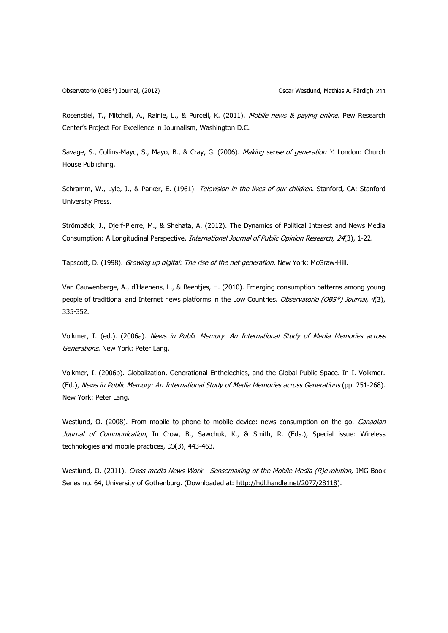Rosenstiel, T., Mitchell, A., Rainie, L., & Purcell, K. (2011). Mobile news & paying online. Pew Research Center's Project For Excellence in Journalism, Washington D.C.

Savage, S., Collins-Mayo, S., Mayo, B., & Cray, G. (2006). Making sense of generation Y. London: Church House Publishing.

Schramm, W., Lyle, J., & Parker, E. (1961). Television in the lives of our children. Stanford, CA: Stanford University Press.

Strömbäck, J., Djerf-Pierre, M., & Shehata, A. (2012). The Dynamics of Political Interest and News Media Consumption: A Longitudinal Perspective. *International Journal of Public Opinion Research, 24*(3), 1-22.

Tapscott, D. (1998). Growing up digital: The rise of the net generation. New York: McGraw-Hill.

Van Cauwenberge, A., d'Haenens, L., & Beentjes, H. (2010). Emerging consumption patterns among young people of traditional and Internet news platforms in the Low Countries. Observatorio (OBS\*) Journal, 4(3), 335-352.

Volkmer, I. (ed.). (2006a). News in Public Memory. An International Study of Media Memories across Generations. New York: Peter Lang.

Volkmer, I. (2006b). Globalization, Generational Enthelechies, and the Global Public Space. In I. Volkmer. (Ed.), News in Public Memory: An International Study of Media Memories across Generations (pp. 251-268). New York: Peter Lang.

Westlund, O. (2008). From mobile to phone to mobile device: news consumption on the go. *Canadian* Journal of Communication, In Crow, B., Sawchuk, K., & Smith, R. (Eds.), Special issue: Wireless technologies and mobile practices, 33(3), 443-463.

Westlund, O. (2011). Cross-media News Work - Sensemaking of the Mobile Media (R)evolution, JMG Book Series no. 64, University of Gothenburg. (Downloaded at: [http://hdl.handle.net/2077/28118\)](http://hdl.handle.net/2077/28118).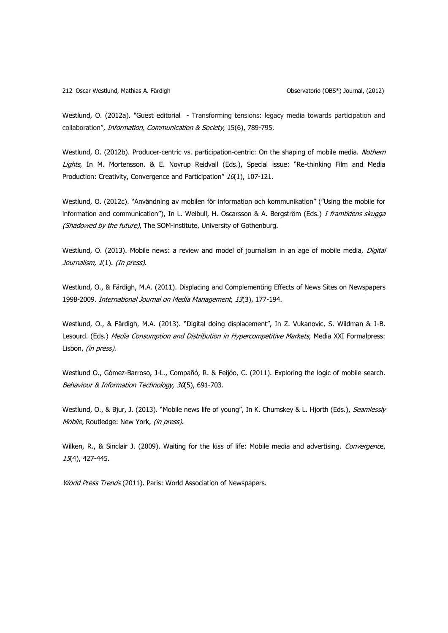Westlund, O. (2012a). "Guest editorial - Transforming tensions: legacy media towards participation and collaboration", Information, Communication & Society, 15(6), 789-795.

Westlund, O. (2012b). Producer-centric vs. participation-centric: On the shaping of mobile media. Nothern Lights, In M. Mortensson. & E. Novrup Reidvall (Eds.), Special issue: "Re-thinking Film and Media Production: Creativity, Convergence and Participation"  $10(1)$ , 107-121.

Westlund, O. (2012c). "Användning av mobilen för information och kommunikation" ("Using the mobile for information and communication"), In L. Weibull, H. Oscarsson & A. Bergström (Eds.) I framtidens skugga (Shadowed by the future), The SOM-institute, University of Gothenburg.

Westlund, O. (2013). Mobile news: a review and model of journalism in an age of mobile media, Digital Journalism, 1(1). (In press).

Westlund, O., & Färdigh, M.A. (2011). Displacing and Complementing Effects of News Sites on Newspapers 1998-2009. International Journal on Media Management, 13(3), 177-194.

Westlund, O., & Färdigh, M.A. (2013). "Digital doing displacement", In Z. Vukanovic, S. Wildman & J-B. Lesourd. (Eds.) Media Consumption and Distribution in Hypercompetitive Markets, Media XXI Formalpress: Lisbon, (in press).

Westlund O., Gómez-Barroso, J-L., Compañó, R. & Feijóo, C. (2011). Exploring the logic of mobile search. Behaviour & Information Technology, 30(5), 691-703.

Westlund, O., & Bjur, J. (2013). "Mobile news life of young", In K. Chumskey & L. Hjorth (Eds.), Seamlessly Mobile, Routledge: New York, (in press).

Wilken, R., & Sinclair J. (2009). Waiting for the kiss of life: Mobile media and advertising. Convergence, 15(4), 427-445.

World Press Trends (2011). Paris: World Association of Newspapers.